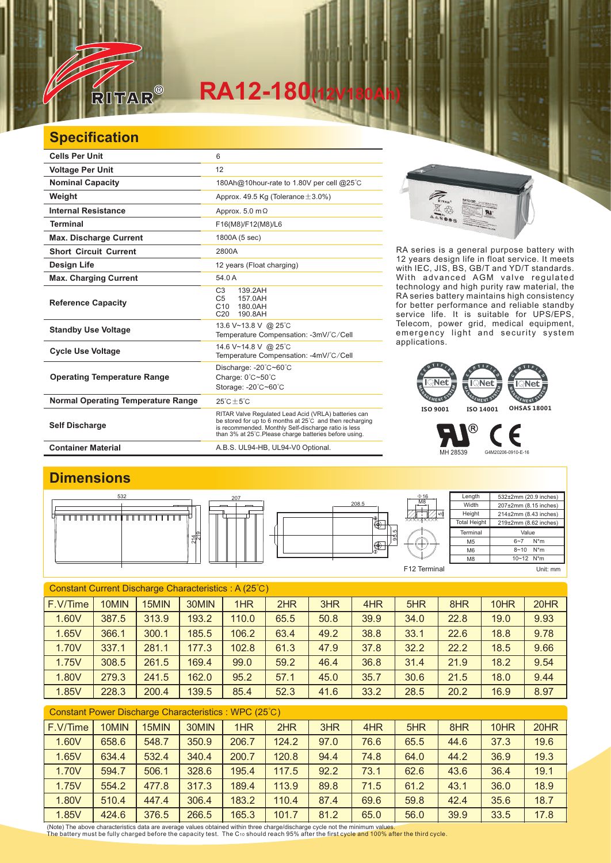

# $RA12-180$

### **Specification**

| <b>Cells Per Unit</b>                     | 6                                                                                                                                                                                                                                  |
|-------------------------------------------|------------------------------------------------------------------------------------------------------------------------------------------------------------------------------------------------------------------------------------|
| <b>Voltage Per Unit</b>                   | 12                                                                                                                                                                                                                                 |
| <b>Nominal Capacity</b>                   | 180Ah@10hour-rate to 1.80V per cell @25°C                                                                                                                                                                                          |
| Weight                                    | Approx. 49.5 Kg (Tolerance $\pm$ 3.0%)                                                                                                                                                                                             |
| <b>Internal Resistance</b>                | Approx. $5.0 \text{ m}\Omega$                                                                                                                                                                                                      |
| <b>Terminal</b>                           | F16(M8)/F12(M8)/L6                                                                                                                                                                                                                 |
| <b>Max. Discharge Current</b>             | 1800A (5 sec)                                                                                                                                                                                                                      |
| <b>Short Circuit Current</b>              | 2800A                                                                                                                                                                                                                              |
| <b>Design Life</b>                        | 12 years (Float charging)                                                                                                                                                                                                          |
| <b>Max. Charging Current</b>              | 54.0 A                                                                                                                                                                                                                             |
| <b>Reference Capacity</b>                 | C <sub>3</sub><br>139.2AH<br>157.0AH<br>C <sub>5</sub><br>C10<br>180.0AH<br>C <sub>20</sub><br>190.8AH                                                                                                                             |
| <b>Standby Use Voltage</b>                | 13.6 V~13.8 V @ 25°C<br>Temperature Compensation: -3mV/°C/Cell                                                                                                                                                                     |
| <b>Cycle Use Voltage</b>                  | 14.6 V~14.8 V @ 25°C<br>Temperature Compensation: -4mV/°C/Cell                                                                                                                                                                     |
| <b>Operating Temperature Range</b>        | Discharge: $-20^{\circ}$ C $-60^{\circ}$ C<br>Charge: 0°C~50°C<br>Storage: - 20°C~60°C                                                                                                                                             |
| <b>Normal Operating Temperature Range</b> | $25^{\circ}$ C + 5 $^{\circ}$ C                                                                                                                                                                                                    |
| <b>Self Discharge</b>                     | RITAR Valve Regulated Lead Acid (VRLA) batteries can<br>be stored for up to 6 months at 25°C and then recharging<br>is recommended. Monthly Self-discharge ratio is less<br>than 3% at 25°C. Please charge batteries before using. |
| <b>Container Material</b>                 | A.B.S. UL94-HB, UL94-V0 Optional.                                                                                                                                                                                                  |



RA series is a general purpose battery with 12 years design life in float service. It meets with IEC, JIS, BS, GB/T and YD/T standards. With advanced AGM valve regulated technology and high purity raw material, the RA series battery maintains high consistency for better performance and reliable standby service life. It is suitable for UPS/EPS, Telecom, power grid, medical equipment, emergency light and security system applications.

### $\overline{\mathbb{R}}$ Net  $\overline{\text{Net}}$ EMENT SY GEMENT S GEMENT<sup>E</sup> **ISO 9001 ISO 14001 OHSAS 18001**

MH 28539 G4M20206-0910-E-16

Є

®

#### **Dimensions** Length 532±2mm (20.9 inches)  $\frac{0.16}{0.16}$   $\frac{0.16}{0.16}$   $\frac{0.16}{0.16}$   $\frac{0.16}{0.16}$   $\frac{0.16}{0.16}$   $\frac{0.16}{0.16}$   $\frac{0.16}{0.16}$   $\frac{0.16}{0.16}$   $\frac{0.16}{0.16}$   $\frac{0.16}{0.16}$   $\frac{0.16}{0.16}$   $\frac{0.16}{0.16}$   $\frac{0.16}{0.16}$   $\frac{0.16}{0.16$ M8 Width 207±2mm (8.15 inches) 208.5 **Height** 214±2mm (8.43 inches) , , , , , , , , , , , , , , , , <u> TERMINI I</u> 5 Total Height 219±2mm (8.62 inches) ⊕ **Terminal** Value 95.5  $\frac{214}{219}$  $\overline{M5}$ 6~7 N\*m Ф M6 8~10 N\*m 10~12 N\*m M8 F12 Terminal Unit: mm

| Constant Current Discharge Characteristics: A (25°C) |       |       |       |       |      |      |      |      |      |      |      |
|------------------------------------------------------|-------|-------|-------|-------|------|------|------|------|------|------|------|
| F.V/Time                                             | 10MIN | 15MIN | 30MIN | 1HR   | 2HR  | 3HR  | 4HR  | 5HR  | 8HR  | 10HR | 20HR |
| 1.60V                                                | 387.5 | 313.9 | 193.2 | 110.0 | 65.5 | 50.8 | 39.9 | 34.0 | 22.8 | 19.0 | 9.93 |
| 1.65V                                                | 366.1 | 300.1 | 185.5 | 106.2 | 63.4 | 49.2 | 38.8 | 33.1 | 22.6 | 18.8 | 9.78 |
| 1.70V                                                | 337.1 | 281.1 | 177.3 | 102.8 | 61.3 | 47.9 | 37.8 | 32.2 | 22.2 | 18.5 | 9.66 |
| 1.75V                                                | 308.5 | 261.5 | 169.4 | 99.0  | 59.2 | 46.4 | 36.8 | 31.4 | 21.9 | 18.2 | 9.54 |
| 1.80V                                                | 279.3 | 241.5 | 162.0 | 95.2  | 57.1 | 45.0 | 35.7 | 30.6 | 21.5 | 18.0 | 9.44 |
| 1.85V                                                | 228.3 | 200.4 | 139.5 | 85.4  | 52.3 | 41.6 | 33.2 | 28.5 | 20.2 | 16.9 | 8.97 |
|                                                      |       |       |       |       |      |      |      |      |      |      |      |

| Constant Power Discharge Characteristics: WPC (25°C) |       |       |       |       |       |      |      |      |      |      |      |
|------------------------------------------------------|-------|-------|-------|-------|-------|------|------|------|------|------|------|
| F.V/Time                                             | 10MIN | 15MIN | 30MIN | 1HR   | 2HR   | 3HR  | 4HR  | 5HR  | 8HR  | 10HR | 20HR |
| 1.60V                                                | 658.6 | 548.7 | 350.9 | 206.7 | 124.2 | 97.0 | 76.6 | 65.5 | 44.6 | 37.3 | 19.6 |
| 1.65V                                                | 634.4 | 532.4 | 340.4 | 200.7 | 120.8 | 94.4 | 74.8 | 64.0 | 44.2 | 36.9 | 19.3 |
| 1.70V                                                | 594.7 | 506.1 | 328.6 | 195.4 | 117.5 | 92.2 | 73.1 | 62.6 | 43.6 | 36.4 | 19.1 |
| 1.75V                                                | 554.2 | 477.8 | 317.3 | 189.4 | 113.9 | 89.8 | 71.5 | 61.2 | 43.1 | 36.0 | 18.9 |
| 1.80V                                                | 510.4 | 447.4 | 306.4 | 183.2 | 110.4 | 87.4 | 69.6 | 59.8 | 42.4 | 35.6 | 18.7 |
| 1.85V                                                | 424.6 | 376.5 | 266.5 | 165.3 | 101.7 | 81.2 | 65.0 | 56.0 | 39.9 | 33.5 | 17.8 |

(Note) The above characteristics data are average values obtained within three charge/discharge cycle not the minimum values.<br>The battery must be fully charged before the capacity test. The C10 should reach 95% after the